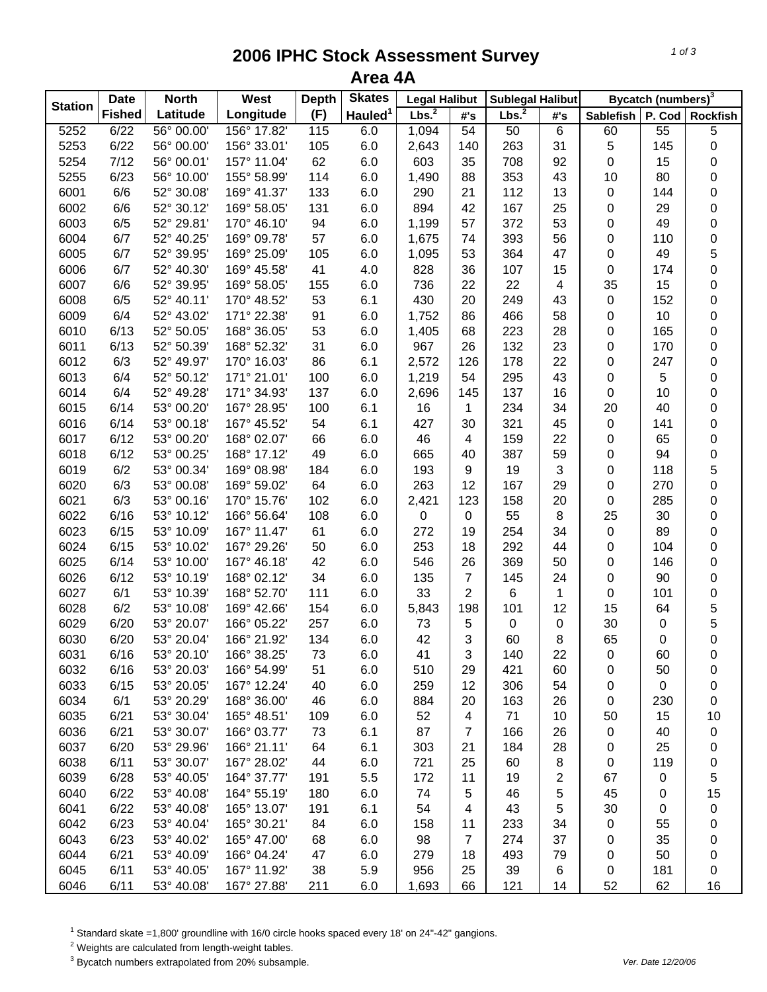## **2006 IPHC Stock Assessment Survey Area 4A**

| <b>Station</b> | <b>Date</b>   | <b>North</b> | West        | <b>Depth</b> | <b>Skates</b>       | <b>Legal Halibut</b> |                         | <b>Sublegal Halibut</b> |     |           | <b>Bycatch (numbers)</b> <sup>3</sup> |                 |
|----------------|---------------|--------------|-------------|--------------|---------------------|----------------------|-------------------------|-------------------------|-----|-----------|---------------------------------------|-----------------|
|                | <b>Fished</b> | Latitude     | Longitude   | (F)          | Hauled <sup>1</sup> | Lbs. <sup>2</sup>    | #'s                     | Lbs. <sup>2</sup>       | #'s | Sablefish | P. Cod                                | <b>Rockfish</b> |
| 5252           | 6/22          | 56° 00.00'   | 156° 17.82' | 115          | 6.0                 | 1,094                | 54                      | 50                      | 6   | 60        | 55                                    | 5               |
| 5253           | 6/22          | 56° 00.00'   | 156° 33.01' | 105          | 6.0                 | 2,643                | 140                     | 263                     | 31  | 5         | 145                                   | 0               |
| 5254           | 7/12          | 56° 00.01'   | 157° 11.04' | 62           | 6.0                 | 603                  | 35                      | 708                     | 92  | 0         | 15                                    | 0               |
| 5255           | 6/23          | 56° 10.00'   | 155° 58.99' | 114          | 6.0                 | 1,490                | 88                      | 353                     | 43  | 10        | 80                                    | 0               |
| 6001           | 6/6           | 52° 30.08'   | 169° 41.37' | 133          | 6.0                 | 290                  | 21                      | 112                     | 13  | 0         | 144                                   | 0               |
| 6002           | 6/6           | 52° 30.12'   | 169° 58.05' | 131          | 6.0                 | 894                  | 42                      | 167                     | 25  | 0         | 29                                    | $\mathbf 0$     |
| 6003           | 6/5           | 52° 29.81'   | 170° 46.10' | 94           | 6.0                 | 1,199                | 57                      | 372                     | 53  | 0         | 49                                    | 0               |
| 6004           | 6/7           | 52° 40.25'   | 169° 09.78' | 57           | 6.0                 | 1,675                | 74                      | 393                     | 56  | 0         | 110                                   | 0               |
| 6005           | 6/7           | 52° 39.95'   | 169° 25.09' | 105          | 6.0                 | 1,095                | 53                      | 364                     | 47  | 0         | 49                                    | 5               |
| 6006           | 6/7           | 52° 40.30'   | 169° 45.58' | 41           | 4.0                 | 828                  | 36                      | 107                     | 15  | 0         | 174                                   | 0               |
| 6007           | 6/6           | 52° 39.95'   | 169° 58.05' | 155          | 6.0                 | 736                  | 22                      | 22                      | 4   | 35        | 15                                    | 0               |
| 6008           | 6/5           | 52° 40.11'   | 170° 48.52' | 53           | 6.1                 | 430                  | 20                      | 249                     | 43  | 0         | 152                                   | 0               |
| 6009           | 6/4           | 52° 43.02'   | 171° 22.38' | 91           | 6.0                 | 1,752                | 86                      | 466                     | 58  | 0         | 10                                    | 0               |
| 6010           | 6/13          | 52° 50.05'   | 168° 36.05' | 53           | 6.0                 | 1,405                | 68                      | 223                     | 28  | 0         | 165                                   | 0               |
| 6011           | 6/13          | 52° 50.39'   | 168° 52.32' | 31           | 6.0                 | 967                  | 26                      | 132                     | 23  | 0         | 170                                   | 0               |
| 6012           | 6/3           | 52° 49.97'   | 170° 16.03' | 86           | 6.1                 | 2,572                | 126                     | 178                     | 22  | 0         | 247                                   | 0               |
| 6013           | 6/4           | 52° 50.12'   | 171° 21.01' | 100          | 6.0                 | 1,219                | 54                      | 295                     | 43  | 0         | 5                                     | 0               |
| 6014           | 6/4           | 52° 49.28'   | 171° 34.93' | 137          | 6.0                 | 2,696                | 145                     | 137                     | 16  | 0         | 10                                    | 0               |
| 6015           | 6/14          | 53° 00.20'   | 167° 28.95' | 100          | 6.1                 | 16                   | $\mathbf{1}$            | 234                     | 34  | 20        | 40                                    | 0               |
| 6016           | 6/14          | 53° 00.18'   | 167° 45.52' | 54           | 6.1                 | 427                  | 30                      | 321                     | 45  | 0         | 141                                   | 0               |
| 6017           | 6/12          | 53° 00.20'   | 168° 02.07' | 66           | 6.0                 | 46                   | $\overline{4}$          | 159                     | 22  | 0         | 65                                    | 0               |
| 6018           | 6/12          | 53° 00.25'   | 168° 17.12' | 49           | 6.0                 | 665                  | 40                      | 387                     | 59  | 0         | 94                                    | 0               |
| 6019           | 6/2           | 53° 00.34'   | 169° 08.98' | 184          | 6.0                 | 193                  | 9                       | 19                      | 3   | 0         | 118                                   | 5               |
| 6020           | 6/3           | 53° 00.08'   | 169° 59.02' | 64           | 6.0                 | 263                  | 12                      | 167                     | 29  | 0         | 270                                   | 0               |
| 6021           | 6/3           | 53° 00.16'   | 170° 15.76' | 102          | 6.0                 | 2,421                | 123                     | 158                     | 20  | 0         | 285                                   | 0               |
| 6022           | 6/16          | 53° 10.12'   | 166° 56.64' | 108          | 6.0                 | 0                    | $\pmb{0}$               | 55                      | 8   | 25        | 30                                    | 0               |
| 6023           | 6/15          | 53° 10.09'   | 167° 11.47' | 61           | 6.0                 | 272                  | 19                      | 254                     | 34  | 0         | 89                                    | 0               |
| 6024           | 6/15          | 53° 10.02'   | 167° 29.26' | 50           | 6.0                 | 253                  | 18                      | 292                     | 44  | 0         | 104                                   | 0               |
| 6025           | 6/14          | 53° 10.00'   | 167° 46.18' | 42           | 6.0                 | 546                  | 26                      | 369                     | 50  | 0         | 146                                   | 0               |
| 6026           | 6/12          | 53° 10.19'   | 168° 02.12' | 34           | 6.0                 | 135                  | $\overline{7}$          | 145                     | 24  | 0         | 90                                    | 0               |
| 6027           | 6/1           | 53° 10.39'   | 168° 52.70' | 111          | 6.0                 | 33                   | $\overline{2}$          | 6                       | 1   | 0         | 101                                   | 0               |
| 6028           | 6/2           | 53° 10.08'   | 169° 42.66' | 154          | 6.0                 | 5,843                | 198                     | 101                     | 12  | 15        | 64                                    | 5               |
| 6029           | 6/20          | 53° 20.07'   | 166° 05.22' | 257          | 6.0                 | 73                   | 5                       | 0                       | 0   | 30        | 0                                     | 5               |
| 6030           | 6/20          | 53° 20.04'   | 166° 21.92' | 134          | 6.0                 | 42                   | 3                       | 60                      | 8   | 65        | 0                                     | 0               |
| 6031           | 6/16          | 53° 20.10'   | 166° 38.25' | 73           | 6.0                 | 41                   | 3                       | 140                     | 22  | 0         | 60                                    | 0               |
| 6032           | 6/16          | 53° 20.03'   | 166° 54.99' | 51           | 6.0                 | 510                  | 29                      | 421                     | 60  | 0         | 50                                    | 0               |
| 6033           | 6/15          | 53° 20.05'   | 167° 12.24' | 40           | 6.0                 | 259                  | 12                      | 306                     | 54  | 0         | 0                                     | 0               |
| 6034           | 6/1           | 53° 20.29'   | 168° 36.00' | 46           | 6.0                 | 884                  | 20                      | 163                     | 26  | 0         | 230                                   | 0               |
| 6035           | 6/21          | 53° 30.04'   | 165° 48.51' | 109          | 6.0                 | 52                   | $\overline{\mathbf{4}}$ | 71                      | 10  | 50        | 15                                    | 10              |
| 6036           | 6/21          | 53° 30.07'   | 166° 03.77' | 73           | 6.1                 | 87                   | 7                       | 166                     | 26  | 0         | 40                                    | 0               |
| 6037           | 6/20          | 53° 29.96'   | 166° 21.11' | 64           | 6.1                 | 303                  | 21                      | 184                     | 28  | 0         | 25                                    | 0               |
| 6038           | 6/11          | 53° 30.07'   | 167° 28.02' | 44           | 6.0                 | 721                  | 25                      | 60                      | 8   | 0         | 119                                   | 0               |
| 6039           | 6/28          | 53° 40.05'   | 164° 37.77' | 191          | 5.5                 | 172                  | 11                      | 19                      | 2   | 67        | 0                                     | 5               |
| 6040           | 6/22          | 53° 40.08'   | 164° 55.19' | 180          | 6.0                 | 74                   | 5                       | 46                      | 5   | 45        | 0                                     | 15              |
| 6041           | 6/22          | 53° 40.08'   | 165° 13.07' | 191          | 6.1                 | 54                   | 4                       | 43                      | 5   | 30        | 0                                     | 0               |
| 6042           | 6/23          | 53° 40.04'   | 165° 30.21' | 84           | 6.0                 | 158                  | 11                      | 233                     | 34  | 0         | 55                                    | 0               |
| 6043           | 6/23          | 53° 40.02'   | 165° 47.00' | 68           | 6.0                 | 98                   | $\overline{7}$          | 274                     | 37  | 0         | 35                                    | 0               |
| 6044           | 6/21          | 53° 40.09'   | 166° 04.24' | 47           | 6.0                 | 279                  | 18                      | 493                     | 79  | 0         | 50                                    | 0               |
| 6045           | 6/11          | 53° 40.05'   | 167° 11.92' | 38           | 5.9                 | 956                  | 25                      | 39                      | 6   | 0         | 181                                   | 0               |
| 6046           | 6/11          | 53° 40.08'   | 167° 27.88' | 211          | 6.0                 | 1,693                | 66                      | 121                     | 14  | 52        | 62                                    | 16              |

<sup>1</sup> Standard skate =1,800' groundline with 16/0 circle hooks spaced every 18' on 24"-42" gangions.

 $2$  Weights are calculated from length-weight tables.

3 Bycatch numbers extrapolated from 20% subsample. *Ver. Date 12/20/06*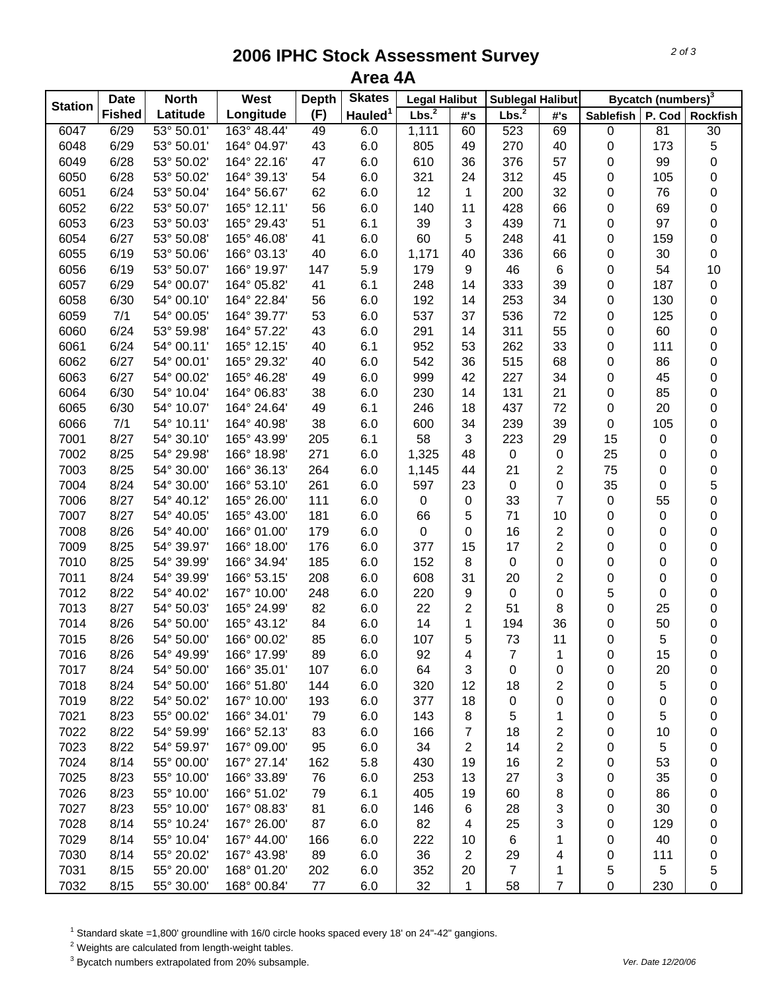## **2006 IPHC Stock Assessment Survey Area 4A**

|                | <b>Date</b>   | <b>North</b> | West        | <b>Depth</b> | <b>Skates</b>       | <b>Legal Halibut</b> |                         | <b>Sublegal Halibut</b> |                |                  | Bycatch (numbers) <sup>3</sup> |                  |
|----------------|---------------|--------------|-------------|--------------|---------------------|----------------------|-------------------------|-------------------------|----------------|------------------|--------------------------------|------------------|
| <b>Station</b> | <b>Fished</b> | Latitude     | Longitude   | (F)          | Hauled <sup>1</sup> | Lbs. <sup>2</sup>    | #'s                     | Lbs. <sup>2</sup>       | #'s            | <b>Sablefish</b> | P. Cod                         | <b>Rockfish</b>  |
| 6047           | 6/29          | 53° 50.01'   | 163° 48.44' | 49           | 6.0                 | 1,111                | 60                      | 523                     | 69             | 0                | 81                             | 30               |
| 6048           | 6/29          | 53° 50.01'   | 164° 04.97' | 43           | 6.0                 | 805                  | 49                      | 270                     | 40             | 0                | 173                            | 5                |
| 6049           | 6/28          | 53° 50.02'   | 164° 22.16' | 47           | 6.0                 | 610                  | 36                      | 376                     | 57             | 0                | 99                             | 0                |
| 6050           | 6/28          | 53° 50.02'   | 164° 39.13' | 54           | 6.0                 | 321                  | 24                      | 312                     | 45             | 0                | 105                            | 0                |
| 6051           | 6/24          | 53° 50.04'   | 164° 56.67' | 62           | 6.0                 | 12                   | 1                       | 200                     | 32             | 0                | 76                             | 0                |
| 6052           | 6/22          | 53° 50.07'   | 165° 12.11' | 56           | 6.0                 | 140                  | 11                      | 428                     | 66             | 0                | 69                             | 0                |
| 6053           | 6/23          | 53° 50.03'   | 165° 29.43' | 51           | 6.1                 | 39                   | 3                       | 439                     | 71             | 0                | 97                             | 0                |
| 6054           | 6/27          | 53° 50.08'   | 165° 46.08' | 41           | 6.0                 | 60                   | 5                       | 248                     | 41             | 0                | 159                            | 0                |
| 6055           | 6/19          | 53° 50.06'   | 166° 03.13' | 40           | 6.0                 | 1,171                | 40                      | 336                     | 66             | 0                | 30                             | 0                |
| 6056           | 6/19          | 53° 50.07'   | 166° 19.97' | 147          | 5.9                 | 179                  | 9                       | 46                      | 6              | 0                | 54                             | 10               |
| 6057           | 6/29          | 54° 00.07'   | 164° 05.82' | 41           | 6.1                 | 248                  | 14                      | 333                     | 39             | 0                | 187                            | 0                |
| 6058           | 6/30          | 54° 00.10'   | 164° 22.84' | 56           | 6.0                 | 192                  | 14                      | 253                     | 34             | 0                | 130                            | 0                |
| 6059           | 7/1           | 54° 00.05'   | 164° 39.77' | 53           | 6.0                 | 537                  | 37                      | 536                     | 72             | 0                | 125                            | 0                |
| 6060           | 6/24          | 53° 59.98'   | 164° 57.22' | 43           | 6.0                 | 291                  | 14                      | 311                     | 55             | 0                | 60                             | 0                |
| 6061           | 6/24          | 54° 00.11'   | 165° 12.15' | 40           | 6.1                 | 952                  | 53                      | 262                     | 33             | 0                | 111                            | 0                |
| 6062           | 6/27          | 54° 00.01'   | 165° 29.32' | 40           | 6.0                 | 542                  | 36                      | 515                     | 68             | 0                | 86                             | 0                |
| 6063           | 6/27          | 54° 00.02'   | 165° 46.28' | 49           | 6.0                 | 999                  | 42                      | 227                     | 34             | 0                | 45                             | 0                |
| 6064           | 6/30          | 54° 10.04'   | 164° 06.83' | 38           | 6.0                 | 230                  | 14                      | 131                     | 21             | 0                | 85                             | 0                |
| 6065           | 6/30          | 54° 10.07'   | 164° 24.64' | 49           | 6.1                 | 246                  | 18                      | 437                     | 72             | 0                | 20                             | 0                |
| 6066           | 7/1           | 54° 10.11'   | 164° 40.98' | 38           | 6.0                 | 600                  | 34                      | 239                     | 39             | 0                | 105                            | 0                |
| 7001           | 8/27          | 54° 30.10'   | 165° 43.99' | 205          | 6.1                 | 58                   | 3                       | 223                     | 29             | 15               | 0                              | 0                |
| 7002           | 8/25          | 54° 29.98'   | 166° 18.98' | 271          | 6.0                 | 1,325                | 48                      | 0                       | 0              | 25               | 0                              | 0                |
| 7003           | 8/25          | 54° 30.00'   | 166° 36.13' | 264          | 6.0                 | 1,145                | 44                      | 21                      | $\overline{2}$ | 75               | 0                              | 0                |
| 7004           | 8/24          | 54° 30.00'   | 166° 53.10' | 261          | 6.0                 | 597                  | 23                      | 0                       | 0              | 35               | 0                              | 5                |
| 7006           | 8/27          | 54° 40.12'   | 165° 26.00' | 111          | 6.0                 | $\pmb{0}$            | $\pmb{0}$               | 33                      | $\overline{7}$ | 0                | 55                             | 0                |
| 7007           | 8/27          | 54° 40.05'   | 165° 43.00' | 181          | 6.0                 | 66                   | 5                       | 71                      | 10             | 0                | 0                              | 0                |
| 7008           | 8/26          | 54° 40.00'   | 166° 01.00' | 179          | 6.0                 | 0                    | 0                       | 16                      | $\overline{2}$ | 0                | 0                              | 0                |
| 7009           | 8/25          | 54° 39.97'   | 166° 18.00' | 176          | 6.0                 | 377                  | 15                      | 17                      | $\overline{2}$ | 0                | 0                              | 0                |
| 7010           | 8/25          | 54° 39.99'   | 166° 34.94' | 185          | 6.0                 | 152                  | 8                       | 0                       | 0              | 0                | 0                              | 0                |
| 7011           | 8/24          | 54° 39.99'   | 166° 53.15' | 208          | 6.0                 | 608                  | 31                      | 20                      | $\overline{2}$ | 0                | 0                              | 0                |
| 7012           | 8/22          | 54° 40.02'   | 167° 10.00' | 248          | 6.0                 | 220                  | 9                       | 0                       | 0              | 5                | 0                              | 0                |
| 7013           | 8/27          | 54° 50.03'   | 165° 24.99' | 82           | 6.0                 | 22                   | 2                       | 51                      | 8              | 0                | 25                             | 0                |
| 7014           | 8/26          | 54° 50.00'   | 165° 43.12' | 84           | 6.0                 | 14                   | 1                       | 194                     | 36             | 0                | 50                             | 0                |
| 7015           | 8/26          | 54° 50.00'   | 166° 00.02' | 85           | 6.0                 | 107                  | 5                       | 73                      | 11             | 0                | 5                              | $\boldsymbol{0}$ |
| 7016           | 8/26          | 54° 49.99'   | 166° 17.99' | 89           | 6.0                 | 92                   | 4                       | 7                       | 1              | 0                | 15                             | 0                |
| 7017           | 8/24          | 54° 50.00'   | 166° 35.01' | 107          | 6.0                 | 64                   | 3                       | 0                       | 0              | 0                | 20                             | 0                |
| 7018           | 8/24          | 54° 50.00'   | 166° 51.80' | 144          | 6.0                 | 320                  | 12                      | 18                      | 2              | 0                | 5                              | 0                |
| 7019           | 8/22          | 54° 50.02'   | 167° 10.00' | 193          | 6.0                 | 377                  | 18                      | 0                       | 0              | 0                | 0                              | 0                |
| 7021           | 8/23          | 55° 00.02'   | 166° 34.01' | 79           | 6.0                 | 143                  | 8                       | 5                       | 1              | 0                | 5                              | 0                |
| 7022           | 8/22          | 54° 59.99'   | 166° 52.13' | 83           | 6.0                 | 166                  | 7                       | 18                      | 2              | 0                | 10                             | 0                |
| 7023           | 8/22          | 54° 59.97'   | 167° 09.00' | 95           | 6.0                 | 34                   | $\overline{c}$          | 14                      | 2              | 0                | 5                              | 0                |
| 7024           | 8/14          | 55° 00.00'   | 167° 27.14' | 162          | 5.8                 | 430                  | 19                      | 16                      | 2              | 0                | 53                             | 0                |
| 7025           | 8/23          | 55° 10.00'   | 166° 33.89' | 76           | 6.0                 | 253                  | 13                      | 27                      | 3              | 0                | 35                             | 0                |
| 7026           | 8/23          | 55° 10.00'   | 166° 51.02' | 79           | 6.1                 | 405                  | 19                      | 60                      | 8              | 0                | 86                             | 0                |
| 7027           | 8/23          | 55° 10.00'   | 167° 08.83' | 81           | 6.0                 | 146                  | 6                       | 28                      | 3              | 0                | 30                             | 0                |
| 7028           | 8/14          | 55° 10.24'   | 167° 26.00' | 87           | 6.0                 | 82                   | 4                       | 25                      | 3              | 0                | 129                            | 0                |
| 7029           | 8/14          | 55° 10.04'   | 167° 44.00' | 166          | 6.0                 | 222                  | 10                      | 6                       | 1              | 0                | 40                             | 0                |
| 7030           | 8/14          | 55° 20.02'   | 167° 43.98' | 89           | 6.0                 | 36                   | $\overline{\mathbf{c}}$ | 29                      | 4              | 0                | 111                            | 0                |
| 7031           | 8/15          | 55° 20.00'   | 168° 01.20' | 202          | 6.0                 | 352                  | 20                      | $\overline{7}$          | 1              | 5                | 5                              | 5                |
| 7032           | 8/15          | 55° 30.00'   | 168° 00.84' | 77           | 6.0                 | 32                   | 1                       | 58                      | 7              | 0                | 230                            | 0                |

<sup>1</sup> Standard skate =1,800' groundline with 16/0 circle hooks spaced every 18' on 24"-42" gangions.

 $2$  Weights are calculated from length-weight tables.

3 Bycatch numbers extrapolated from 20% subsample. *Ver. Date 12/20/06*